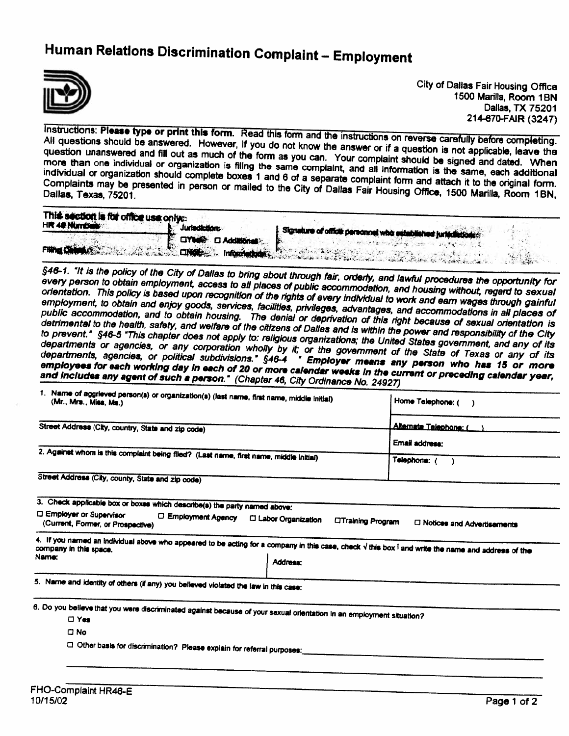## Human Relations Discrimination Complaint — Employment



City of Dallas Fair Housing Office 1500 Marilla, Room 1BN Dallas, TX 75201 214-670-FAIR (3247)

All Instructions: questions Please should type be answered. or print this form. Read this form and the instructions on reverse carefully before completing. However, on questions should be answered. However, if you do not know the answer or if a question is not applicable, leave the<br>question unanswered and fill out as much of the form as you can. Your carrieties and the applicable, lea more than one individual or organization is filing the same complaint, and all information is the same, each additional<br>individual or organization should complete boxes 1 and 6 and complaint, and all information is the sam and process manuscript of the form as you can. Your complaint should be signed and dated. When individual or organization should complete boxes 1 and 6 of a separate complaint form and attach it to the original form<br>Complaints may be presented in person or mailed to the City of Dalles Esisting form and attach it to Complaints may be presented Complaints may be presented in person or mailed to the City of Dallas Fair Housing Office, 1500 Marilla, Room 1BN<br>Dallas, Texas, 75201.

| This section is for office use only a |                              |                                                                                                                                                                                                                                      |
|---------------------------------------|------------------------------|--------------------------------------------------------------------------------------------------------------------------------------------------------------------------------------------------------------------------------------|
| HR 40 Number                          | <b>Jurisdictions.</b>        | Signature of office personnel who established jurisdictions                                                                                                                                                                          |
|                                       | <b>E CITED CI Additional</b> |                                                                                                                                                                                                                                      |
|                                       |                              | <b>THE COMPUTER OF THE REAL PROPERTY AND ASSESSMENT OF THE COMPUTER OF THE COMPUTER OF THE COMPUTER OF THE COMPUTER OF THE COMPUTER OF THE COMPUTER OF THE COMPUTER OF THE COMPUTER OF THE COMPUTER OF THE COMPUTER OF THE COMPU</b> |
|                                       |                              | $-15.5$                                                                                                                                                                                                                              |

every 46-1. person 1t is the to policy obtain of the City of Dallas to bring about through fair, orderly, and lawful procedures the opportunity for<br>employment, access to all places of public consumed to and lawful procedures the opportunity for employment, access to all places of public accommodation, and housing without, regard to sexual orientation. This policy onemation. This policy is based upon recognition of the rights of every individual to work and earn wages through gainful<br>employment, to obtain and eniov goods, services, facilities, privileges, advantage to work and earn enjoy employment, to obtain and enjoy goods, services, facilities, privileges, advantages, and accommodations in all places of<br>public accommodation, and to obtain housing. The denial or deprivation of this and accommodations in detrimental to the health, safety, and welfare of the citizens of Dallas and is within the power and responsibility of the City<br>to prevent." §46-5 "This chapter does not apply to: religious organizations: the United Ower a public accommodation, and to obtain housing. The denial or deprivation of this right because of sexual orientation is to prevent." §46-5 "This chapter does not apply to: religious organizations; the United States government, and any of its<br>departments or agencies, or any corporation wholly by it: or the gaugations; the United States gover departments or agencies, or any departments or agencies, or any corporation wholly by it; or the government of the State of Texas or any of its<br>departments, agencies, or political subdivisions." \$48-4 Employer means and the State of Texas or any of i employees for each working day in each of 20 or more calendar weeks in the current or preceding calendar year,<br>and includes any agent of such a person." (Chapter 48, City Ordingsweeks in the current or preceding calendar y I subdivisions." §46-4 " Employer means any person who has 15 or more and includes any agent of such a person." (Chapter 46, City Ordinance No. 24927)

| 1. Name of aggrieved person(s) or organization(s) (last name, first name, middle initial)<br>(Mr., Mrs., Miss, Ms.)                                                                              | Home Telephone: (                                         |
|--------------------------------------------------------------------------------------------------------------------------------------------------------------------------------------------------|-----------------------------------------------------------|
| Street Address (City, country, State and zip code)                                                                                                                                               | Alternate Telephone: (                                    |
|                                                                                                                                                                                                  | Email address:                                            |
| 2. Against whom is this complaint being filed? (Last name, first name, middle initial)                                                                                                           | Telephone: (                                              |
| Street Address (City, county, State and zip code)                                                                                                                                                |                                                           |
| 3. Check applicable box or boxes which describe(s) the party named above:<br>□ Employer or Supervisor<br>□ Employment Agency<br><b>C Labor Organization</b><br>(Current, Former, or Prospective) | <b>Citraining Program</b><br>□ Notices and Advertisements |
| 4. If you named an individual above who appeared to be acting for a company in this case, check $\sqrt{t}$ this box $\sqrt{t}$ and write the name and address of the<br>Name:<br><b>Address:</b> |                                                           |
| 5. Name and identity of others (if any) you believed violated the law in this case:                                                                                                              |                                                           |
| 6. Do you believe that you were discriminated against because of your sexual orientation in an employment situation?                                                                             |                                                           |
| $\Box$ Yes                                                                                                                                                                                       |                                                           |
| $\Box$ No                                                                                                                                                                                        |                                                           |
| C Other basis for discrimination? Please explain for referral purposes:                                                                                                                          |                                                           |
|                                                                                                                                                                                                  |                                                           |